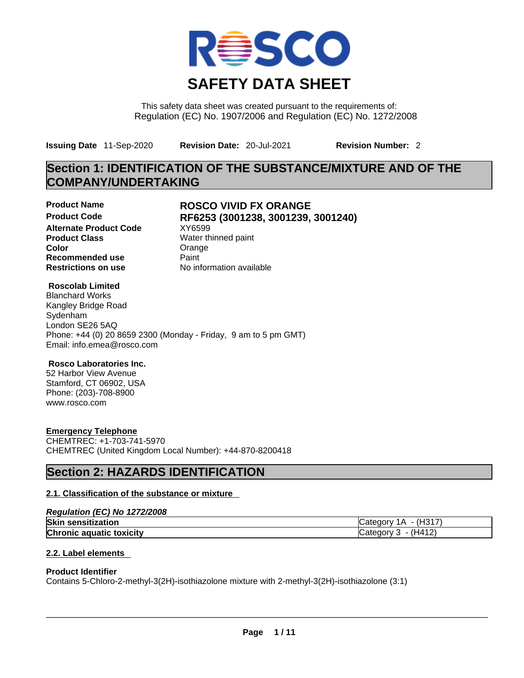

This safety data sheet was created pursuant to the requirements of: Regulation (EC) No. 1907/2006 and Regulation (EC) No. 1272/2008

**Issuing Date** 11-Sep-2020 **Revision Date:** 20-Jul-2021 **Revision Number:** 2

# **Section 1: IDENTIFICATION OF THE SUBSTANCE/MIXTURE AND OF THE COMPANY/UNDERTAKING**

**Alternate Product Code** XY6599 **Product Class Water thinned paint Color** Color Color **Recommended use Paint Paint Restrictions on use COVID-**

# **Product Name ROSCO VIVID FX ORANGE Product Code RF6253 (3001238, 3001239, 3001240)**

**No information available** 

## **Roscolab Limited**

Blanchard Works Kangley Bridge Road Sydenham London SE26 5AQ Phone: +44 (0) 20 8659 2300 (Monday - Friday, 9 am to 5 pm GMT) Email: info.emea@rosco.com

## **Rosco Laboratories Inc.**

52 Harbor View Avenue Stamford, CT 06902, USA Phone: (203)-708-8900 www.rosco.com

## **Emergency Telephone**

CHEMTREC: +1-703-741-5970 CHEMTREC (United Kingdom Local Number): +44-870-8200418

# **Section 2: HAZARDS IDENTIFICATION**

## **2.1. Classification of the substance or mixture**

| Regulation (EC) No 1272/2008    |                        |
|---------------------------------|------------------------|
| <b>Skin sensitization</b>       | $Catecorv 1A - (H317)$ |
| <b>Chronic aquatic toxicity</b> | Category $3 - (H412)$  |

## **2.2. Label elements**

#### **Product Identifier**

Contains 5-Chloro-2-methyl-3(2H)-isothiazolone mixture with 2-methyl-3(2H)-isothiazolone (3:1)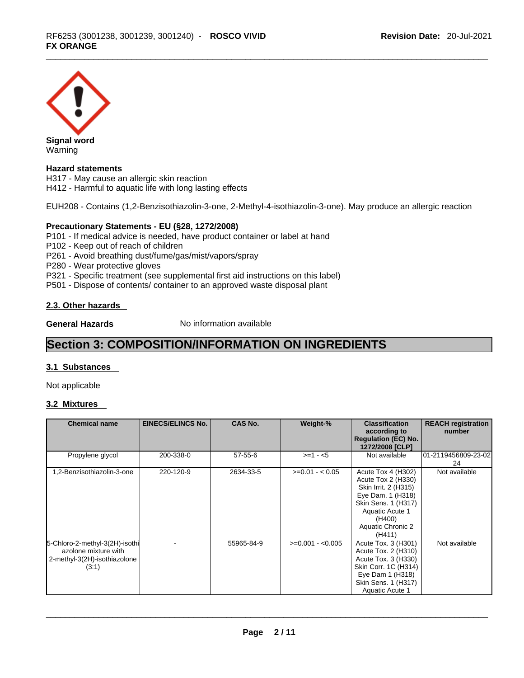

Warning

## **Hazard statements**

H317 - May cause an allergic skin reaction H412 - Harmful to aquatic life with long lasting effects

EUH208 - Contains (1,2-Benzisothiazolin-3-one, 2-Methyl-4-isothiazolin-3-one). May produce an allergic reaction

### **Precautionary Statements - EU (§28, 1272/2008)**

P101 - If medical advice is needed, have product container or label at hand

- P102 Keep out of reach of children
- P261 Avoid breathing dust/fume/gas/mist/vapors/spray

P280 - Wear protective gloves

P321 - Specific treatment (see supplemental first aid instructions on this label)

P501 - Dispose of contents/ container to an approved waste disposal plant

#### **2.3. Other hazards**

**General Hazards No information available** 

# **Section 3: COMPOSITION/INFORMATION ON INGREDIENTS**

### **3.1 Substances**

Not applicable

#### **3.2 Mixtures**

| <b>Chemical name</b>                                                                            | <b>EINECS/ELINCS No.</b> | <b>CAS No.</b> | Weight-%          | <b>Classification</b><br>according to<br><b>Regulation (EC) No.</b><br>1272/2008 [CLP]                                                                                   | <b>REACH registration</b><br>number |
|-------------------------------------------------------------------------------------------------|--------------------------|----------------|-------------------|--------------------------------------------------------------------------------------------------------------------------------------------------------------------------|-------------------------------------|
| Propylene glycol                                                                                | 200-338-0                | $57 - 55 - 6$  | $>=1 - 5$         | Not available                                                                                                                                                            | 01-2119456809-23-02<br>24           |
| 1,2-Benzisothiazolin-3-one                                                                      | 220-120-9                | 2634-33-5      | $>=0.01 - 0.05$   | Acute Tox 4 (H302)<br>Acute Tox 2 (H330)<br>Skin Irrit. 2 (H315)<br>Eye Dam. 1 (H318)<br>Skin Sens. 1 (H317)<br>Aquatic Acute 1<br>(H400)<br>Aquatic Chronic 2<br>(H411) | Not available                       |
| 5-Chloro-2-methyl-3(2H)-isothi<br>azolone mixture with<br>2-methyl-3(2H)-isothiazolone<br>(3:1) |                          | 55965-84-9     | $>=0.001 - 0.005$ | Acute Tox. 3 (H301)<br>Acute Tox. 2 (H310)<br>Acute Tox. 3 (H330)<br>Skin Corr. 1C (H314)<br>Eye Dam 1 (H318)<br>Skin Sens. 1 (H317)<br>Aquatic Acute 1                  | Not available                       |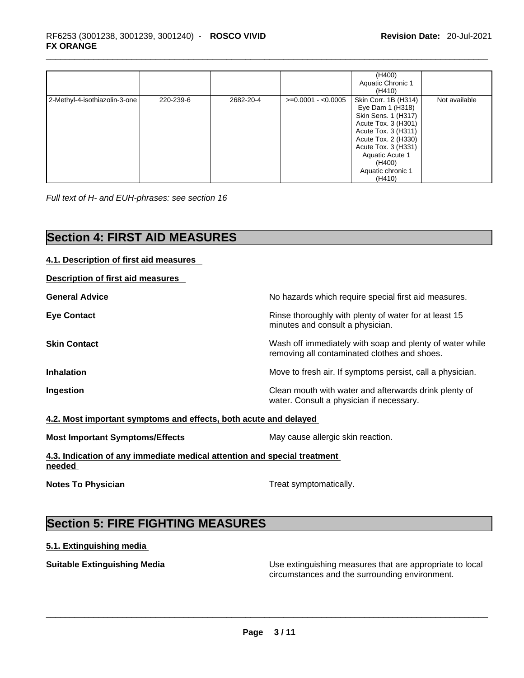|                               |           |           |                     | (H400)<br>Aquatic Chronic 1<br>(H410)                                                                                                                                                                                   |               |
|-------------------------------|-----------|-----------|---------------------|-------------------------------------------------------------------------------------------------------------------------------------------------------------------------------------------------------------------------|---------------|
| 2-Methyl-4-isothiazolin-3-one | 220-239-6 | 2682-20-4 | $>=0.0001 - 0.0005$ | Skin Corr. 1B (H314)<br>Eye Dam 1 (H318)<br>Skin Sens. 1 (H317)<br>Acute Tox. 3 (H301)<br>Acute Tox. 3 (H311)<br>Acute Tox. 2 (H330)<br>Acute Tox. 3 (H331)<br>Aquatic Acute 1<br>(H400)<br>Aquatic chronic 1<br>(H410) | Not available |

*Full text of H- and EUH-phrases: see section 16* 

# **Section 4: FIRST AID MEASURES**

| 4.1. Description of first aid measures                                             |                                                                                                          |
|------------------------------------------------------------------------------------|----------------------------------------------------------------------------------------------------------|
| Description of first aid measures                                                  |                                                                                                          |
| <b>General Advice</b>                                                              | No hazards which require special first aid measures.                                                     |
| <b>Eye Contact</b>                                                                 | Rinse thoroughly with plenty of water for at least 15<br>minutes and consult a physician.                |
| <b>Skin Contact</b>                                                                | Wash off immediately with soap and plenty of water while<br>removing all contaminated clothes and shoes. |
| <b>Inhalation</b>                                                                  | Move to fresh air. If symptoms persist, call a physician.                                                |
| Ingestion                                                                          | Clean mouth with water and afterwards drink plenty of<br>water. Consult a physician if necessary.        |
| 4.2. Most important symptoms and effects, both acute and delayed                   |                                                                                                          |
| <b>Most Important Symptoms/Effects</b>                                             | May cause allergic skin reaction.                                                                        |
| 4.3. Indication of any immediate medical attention and special treatment<br>needed |                                                                                                          |

**Notes To Physician** Motes **To Physician** Treat symptomatically.

# **Section 5: FIRE FIGHTING MEASURES**

# **5.1. Extinguishing media**

**Suitable Extinguishing Media** Use extinguishing measures that are appropriate to local<br>circumstances and the surrounding environment. circumstances and the surrounding environment. \_\_\_\_\_\_\_\_\_\_\_\_\_\_\_\_\_\_\_\_\_\_\_\_\_\_\_\_\_\_\_\_\_\_\_\_\_\_\_\_\_\_\_\_\_\_\_\_\_\_\_\_\_\_\_\_\_\_\_\_\_\_\_\_\_\_\_\_\_\_\_\_\_\_\_\_\_\_\_\_\_\_\_\_\_\_\_\_\_\_\_\_\_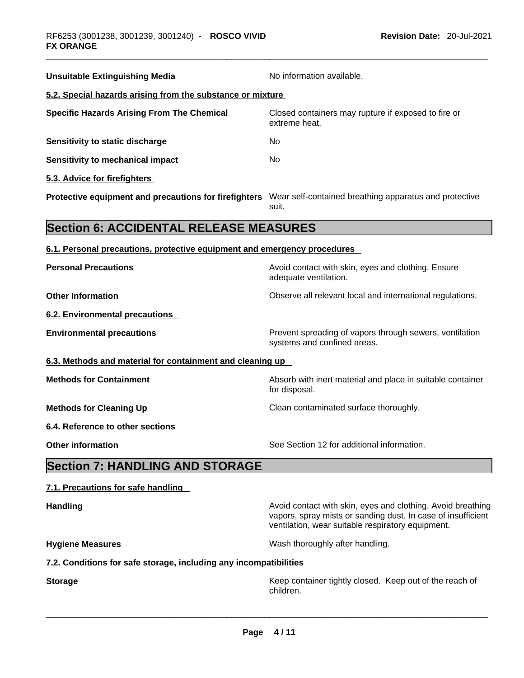| <b>Unsuitable Extinguishing Media</b>                                                                        | No information available.                                                                                                                                                        |  |  |
|--------------------------------------------------------------------------------------------------------------|----------------------------------------------------------------------------------------------------------------------------------------------------------------------------------|--|--|
| 5.2. Special hazards arising from the substance or mixture                                                   |                                                                                                                                                                                  |  |  |
| <b>Specific Hazards Arising From The Chemical</b>                                                            | Closed containers may rupture if exposed to fire or<br>extreme heat.                                                                                                             |  |  |
| Sensitivity to static discharge                                                                              | No.                                                                                                                                                                              |  |  |
| <b>Sensitivity to mechanical impact</b>                                                                      | No                                                                                                                                                                               |  |  |
| 5.3. Advice for firefighters                                                                                 |                                                                                                                                                                                  |  |  |
| Protective equipment and precautions for firefighters Wear self-contained breathing apparatus and protective | suit.                                                                                                                                                                            |  |  |
| <b>Section 6: ACCIDENTAL RELEASE MEASURES</b>                                                                |                                                                                                                                                                                  |  |  |
| 6.1. Personal precautions, protective equipment and emergency procedures                                     |                                                                                                                                                                                  |  |  |
| <b>Personal Precautions</b>                                                                                  | Avoid contact with skin, eyes and clothing. Ensure<br>adequate ventilation.                                                                                                      |  |  |
| <b>Other Information</b>                                                                                     | Observe all relevant local and international regulations.                                                                                                                        |  |  |
| <b>6.2. Environmental precautions</b>                                                                        |                                                                                                                                                                                  |  |  |
| <b>Environmental precautions</b>                                                                             | Prevent spreading of vapors through sewers, ventilation<br>systems and confined areas.                                                                                           |  |  |
| 6.3. Methods and material for containment and cleaning up                                                    |                                                                                                                                                                                  |  |  |
| <b>Methods for Containment</b>                                                                               | Absorb with inert material and place in suitable container<br>for disposal.                                                                                                      |  |  |
| <b>Methods for Cleaning Up</b>                                                                               | Clean contaminated surface thoroughly.                                                                                                                                           |  |  |
| 6.4. Reference to other sections                                                                             |                                                                                                                                                                                  |  |  |
| <b>Other information</b>                                                                                     | See Section 12 for additional information.                                                                                                                                       |  |  |
| <b>Section 7: HANDLING AND STORAGE</b>                                                                       |                                                                                                                                                                                  |  |  |
| 7.1. Precautions for safe handling                                                                           |                                                                                                                                                                                  |  |  |
| <b>Handling</b>                                                                                              | Avoid contact with skin, eyes and clothing. Avoid breathing<br>vapors, spray mists or sanding dust. In case of insufficient<br>ventilation, wear suitable respiratory equipment. |  |  |
| <b>Hygiene Measures</b>                                                                                      | Wash thoroughly after handling.                                                                                                                                                  |  |  |
| 7.2. Conditions for safe storage, including any incompatibilities                                            |                                                                                                                                                                                  |  |  |
| <b>Storage</b>                                                                                               | Keep container tightly closed. Keep out of the reach of                                                                                                                          |  |  |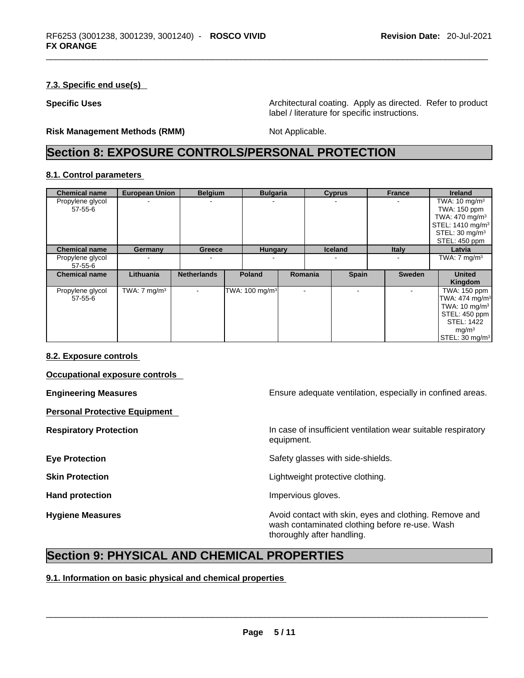## **7.3. Specific end use(s)**

**Specific Uses <b>Architectural coating.** Apply as directed. Refer to product label / literature for specific instructions.

**Risk Management Methods (RMM)** Not Applicable.

# **Section 8: EXPOSURE CONTROLS/PERSONAL PROTECTION**

#### **8.1. Control parameters**

| <b>Chemical name</b> | <b>European Union</b>   | <b>Belgium</b>           | <b>Bulgaria</b>                      |                | <b>Cyprus</b>  | <b>France</b> | <b>Ireland</b>               |
|----------------------|-------------------------|--------------------------|--------------------------------------|----------------|----------------|---------------|------------------------------|
| Propylene glycol     |                         |                          |                                      |                |                |               | TWA: $10 \text{ mg/m}^3$     |
| 57-55-6              |                         |                          |                                      |                |                |               | TWA: 150 ppm                 |
|                      |                         |                          |                                      |                |                |               | TWA: 470 mg/m <sup>3</sup>   |
|                      |                         |                          |                                      |                |                |               | STEL: 1410 mg/m <sup>3</sup> |
|                      |                         |                          |                                      |                |                |               | STEL: $30 \text{ mg/m}^3$    |
|                      |                         |                          |                                      |                |                |               | STEL: 450 ppm                |
| <b>Chemical name</b> | Germany                 | <b>Greece</b>            | <b>Hungary</b>                       |                | <b>Iceland</b> | <b>Italy</b>  | Latvia                       |
| Propylene glycol     |                         |                          |                                      |                |                |               | TWA: $7 \text{ mg/m}^3$      |
| $57 - 55 - 6$        |                         |                          |                                      |                |                |               |                              |
| <b>Chemical name</b> | Lithuania               | <b>Netherlands</b>       | <b>Poland</b>                        | Romania        | <b>Spain</b>   | <b>Sweden</b> | <b>United</b>                |
|                      |                         |                          |                                      |                |                |               | Kingdom                      |
| Propylene glycol     | TWA: $7 \text{ mg/m}^3$ | $\overline{\phantom{0}}$ | TWA: $100 \text{ mg/m}$ <sup>3</sup> | $\blacksquare$ |                |               | TWA: 150 ppm                 |
| $57 - 55 - 6$        |                         |                          |                                      |                |                |               | TWA: $474$ mg/m <sup>3</sup> |
|                      |                         |                          |                                      |                |                |               | TWA: $10 \text{ mg/m}^3$     |
|                      |                         |                          |                                      |                |                |               | STEL: 450 ppm                |
|                      |                         |                          |                                      |                |                |               | <b>STEL: 1422</b>            |
|                      |                         |                          |                                      |                |                |               | mg/m <sup>3</sup>            |
|                      |                         |                          |                                      |                |                |               | STEL: 30 mg/m <sup>3</sup>   |

#### **8.2. Exposure controls**

**Occupational exposure controls** 

**Personal Protective Equipment** 

**Engineering Measures Ensure** Ensure adequate ventilation, especially in confined areas.

**Respiratory Protection In case of insufficient ventilation wear suitable respiratory** equipment.

**Eye Protection Exercise 2 Safety glasses with side-shields.** 

**Skin Protection Skin Protection Skin Protective clothing.** 

**Hand protection Impervious gloves.** 

**Hygiene Measures Avoid contact with skin, eyes and clothing. Remove and Avoid contact with skin, eyes and clothing. Remove and Avoid contact with skin, eyes and clothing. Remove and** wash contaminated clothing before re-use. Wash thoroughly after handling.

# **Section 9: PHYSICAL AND CHEMICAL PROPERTIES**

#### **9.1. Information on basic physical and chemical properties**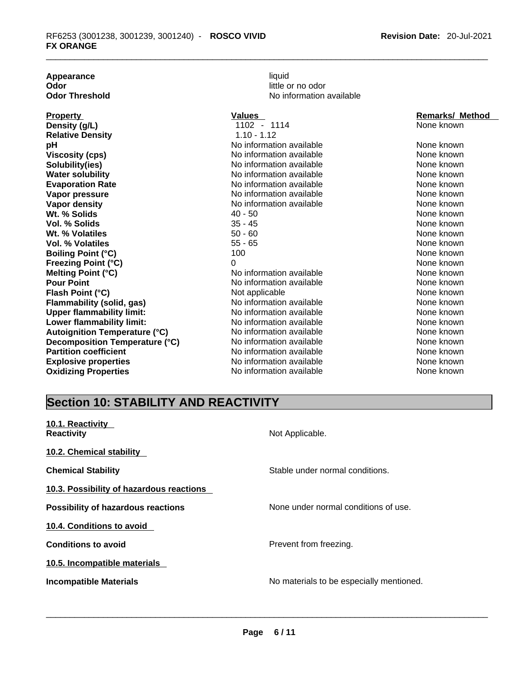**Appearance** liquid **Odor**<br> **Odor Threshold**<br> **Odor Threshold**<br> **Odor Threshold**<br> **Odor Threshold** 

**No information available** 

| <b>Property</b>                  | Values                   | <b>Remarks/ Method</b> |
|----------------------------------|--------------------------|------------------------|
| Density (g/L)                    | 1102 - 1114              | None known             |
| <b>Relative Density</b>          | $1.10 - 1.12$            |                        |
| рH                               | No information available | None known             |
| Viscosity (cps)                  | No information available | None known             |
| Solubility(ies)                  | No information available | None known             |
| <b>Water solubility</b>          | No information available | None known             |
| <b>Evaporation Rate</b>          | No information available | None known             |
| Vapor pressure                   | No information available | None known             |
| Vapor density                    | No information available | None known             |
| Wt. % Solids                     | 40 - 50                  | None known             |
| Vol. % Solids                    | $35 - 45$                | None known             |
| Wt. % Volatiles                  | $50 - 60$                | None known             |
| Vol. % Volatiles                 | $55 - 65$                | None known             |
| <b>Boiling Point (°C)</b>        | 100                      | None known             |
| Freezing Point (°C)              | 0                        | None known             |
| Melting Point (°C)               | No information available | None known             |
| <b>Pour Point</b>                | No information available | None known             |
| Flash Point (°C)                 | Not applicable           | None known             |
| Flammability (solid, gas)        | No information available | None known             |
| <b>Upper flammability limit:</b> | No information available | None known             |
| Lower flammability limit:        | No information available | None known             |
| Autoignition Temperature (°C)    | No information available | None known             |
| Decomposition Temperature (°C)   | No information available | None known             |
| <b>Partition coefficient</b>     | No information available | None known             |
| <b>Explosive properties</b>      | No information available | None known             |
| <b>Oxidizing Properties</b>      | No information available | None known             |

# **Section 10: STABILITY AND REACTIVITY**

| 10.1. Reactivity<br><b>Reactivity</b>     | Not Applicable.                          |
|-------------------------------------------|------------------------------------------|
| 10.2. Chemical stability                  |                                          |
| <b>Chemical Stability</b>                 | Stable under normal conditions.          |
| 10.3. Possibility of hazardous reactions  |                                          |
| <b>Possibility of hazardous reactions</b> | None under normal conditions of use.     |
| 10.4. Conditions to avoid                 |                                          |
| <b>Conditions to avoid</b>                | Prevent from freezing.                   |
| 10.5. Incompatible materials              |                                          |
| <b>Incompatible Materials</b>             | No materials to be especially mentioned. |
|                                           |                                          |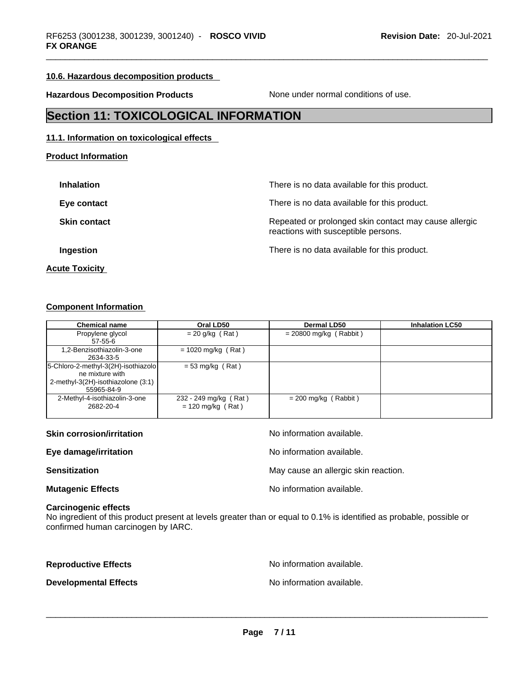## **10.6. Hazardous decomposition products**

**Hazardous Decomposition Products** None under normal conditions of use.

# **Section 11: TOXICOLOGICAL INFORMATION**

### **11.1. Information on toxicological effects**

**Product Information**

| <b>Inhalation</b>   | There is no data available for this product.                                                 |
|---------------------|----------------------------------------------------------------------------------------------|
| Eye contact         | There is no data available for this product.                                                 |
| <b>Skin contact</b> | Repeated or prolonged skin contact may cause allergic<br>reactions with susceptible persons. |
| Ingestion           | There is no data available for this product.                                                 |
|                     |                                                                                              |

**Acute Toxicity** 

#### **Component Information**

| <b>Chemical name</b>                | Oral LD50             | Dermal LD50              | <b>Inhalation LC50</b> |
|-------------------------------------|-----------------------|--------------------------|------------------------|
| Propylene glycol                    | $= 20$ g/kg (Rat)     | $= 20800$ mg/kg (Rabbit) |                        |
| 57-55-6                             |                       |                          |                        |
| 1,2-Benzisothiazolin-3-one          | $= 1020$ mg/kg (Rat)  |                          |                        |
| 2634-33-5                           |                       |                          |                        |
| 5-Chloro-2-methyl-3(2H)-isothiazolo | $= 53$ mg/kg (Rat)    |                          |                        |
| ne mixture with                     |                       |                          |                        |
| 2-methyl-3(2H)-isothiazolone (3:1)  |                       |                          |                        |
| 55965-84-9                          |                       |                          |                        |
| 2-Methyl-4-isothiazolin-3-one       | 232 - 249 mg/kg (Rat) | $= 200$ mg/kg (Rabbit)   |                        |
| 2682-20-4                           | $= 120$ mg/kg (Rat)   |                          |                        |
|                                     |                       |                          |                        |

| <b>Skin corrosion/irritation</b> | No information available.            |
|----------------------------------|--------------------------------------|
| Eye damage/irritation            | No information available.            |
| <b>Sensitization</b>             | May cause an allergic skin reaction. |
| <b>Mutagenic Effects</b>         | No information available.            |

#### **Carcinogenic effects**

No ingredient of this product present at levels greater than or equal to 0.1% is identified as probable, possible or confirmed human carcinogen by IARC.

**Reproductive Effects No information available.** 

**Developmental Effects** No information available. \_\_\_\_\_\_\_\_\_\_\_\_\_\_\_\_\_\_\_\_\_\_\_\_\_\_\_\_\_\_\_\_\_\_\_\_\_\_\_\_\_\_\_\_\_\_\_\_\_\_\_\_\_\_\_\_\_\_\_\_\_\_\_\_\_\_\_\_\_\_\_\_\_\_\_\_\_\_\_\_\_\_\_\_\_\_\_\_\_\_\_\_\_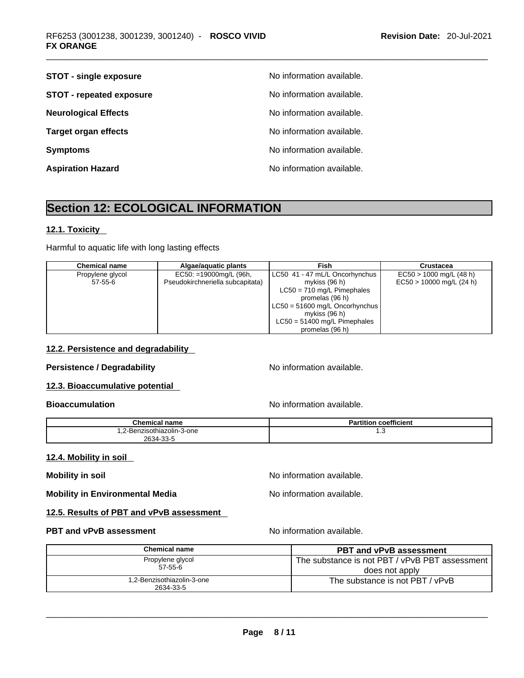| <b>STOT - single exposure</b>   | No information available. |
|---------------------------------|---------------------------|
| <b>STOT - repeated exposure</b> | No information available. |
| <b>Neurological Effects</b>     | No information available. |
| <b>Target organ effects</b>     | No information available. |
| <b>Symptoms</b>                 | No information available. |
| <b>Aspiration Hazard</b>        | No information available. |

# **Section 12: ECOLOGICAL INFORMATION**

## **12.1. Toxicity**

Harmful to aquatic life with long lasting effects

| <b>Chemical name</b> | Algae/aguatic plants             | Fish                             | <b>Crustacea</b>           |
|----------------------|----------------------------------|----------------------------------|----------------------------|
| Propylene glycol     | $EC50: =19000mg/L$ (96h,         | LC50 41 - 47 mL/L Oncorhynchus   | $EC50 > 1000$ mg/L (48 h)  |
| $57-55-6$            | Pseudokirchneriella subcapitata) | mykiss (96 h)                    | $EC50 > 10000$ mg/L (24 h) |
|                      |                                  | $LC50 = 710$ mg/L Pimephales     |                            |
|                      |                                  | promelas (96 h)                  |                            |
|                      |                                  | $LC50 = 51600$ mg/L Oncorhynchus |                            |
|                      |                                  | mykiss (96 h)                    |                            |
|                      |                                  | $LC50 = 51400$ mg/L Pimephales   |                            |
|                      |                                  | promelas (96 h)                  |                            |

## **12.2. Persistence and degradability**

# **Persistence / Degradability No information available.**

# **12.3. Bioaccumulative potential**

## **Bioaccumulation No information available.** No information available.

**Chemical name Partition coefficient** 1,2-Benzisothiazolin-3-one 2634-33-5 1.3

#### **12.4. Mobility in soil**

**Mobility in soil Mobility in soil Mobility in soil Mo Mo information available.** 

**Mobility in Environmental Media** Noinformation available.

## **12.5. Results of PBT and vPvB assessment**

#### **PBT** and **vPvB** assessment **No information available.**

| <b>Chemical name</b>                   | <b>PBT and vPvB assessment</b>                 |
|----------------------------------------|------------------------------------------------|
| Propylene glycol                       | The substance is not PBT / vPvB PBT assessment |
| 57-55-6                                | does not apply                                 |
| .2-Benzisothiazolin-3-one<br>2634-33-5 | The substance is not PBT / vPvB                |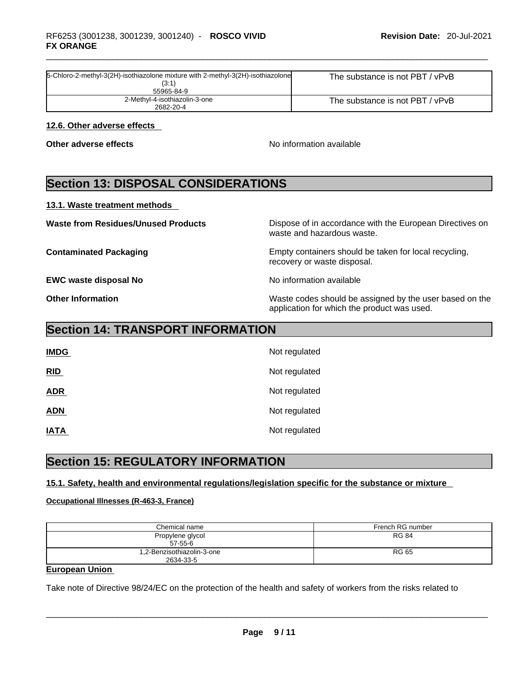| 5-Chloro-2-methyl-3(2H)-isothiazolone mixture with 2-methyl-3(2H)-isothiazolone<br>(3:1)<br>55965-84-9 | The substance is not PBT / vPvB |
|--------------------------------------------------------------------------------------------------------|---------------------------------|
| 2-Methyl-4-isothiazolin-3-one<br>2682-20-4                                                             | The substance is not PBT / vPvB |

### **12.6. Other adverse effects**

**Other adverse effects No information available No information available** 

# **Section 13: DISPOSAL CONSIDERATIONS**

#### **13.1. Waste treatment methods**

**Waste from Residues/Unused Products** Dispose of in accordance with the European Directives on waste and hazardous waste. **Contaminated Packaging <b>Empty Containers** should be taken for local recycling, recovery or waste disposal. **EWC waste disposal No No information available Other Information** Waste codes should be assigned by the user based on the application for which the product was used.

# **Section 14: TRANSPORT INFORMATION**

| <b>IMDG</b> | Not regulated |
|-------------|---------------|
| RID         | Not regulated |
| <b>ADR</b>  | Not regulated |
| <b>ADN</b>  | Not regulated |
| <b>IATA</b> | Not regulated |

# **Section 15: REGULATORY INFORMATION**

## **15.1. Safety, health and environmental regulations/legislation specific for the substance or mixture**

#### **Occupational Illnesses (R-463-3, France)**

| Chemical name                           | French RG number |
|-----------------------------------------|------------------|
| Propylene glycol<br>$57-55-6$           | <b>RG 84</b>     |
| 1,2-Benzisothiazolin-3-one<br>2634-33-5 | <b>RG 65</b>     |

## **European Union**

Take note of Directive 98/24/EC on the protection of the health and safety of workers from the risks related to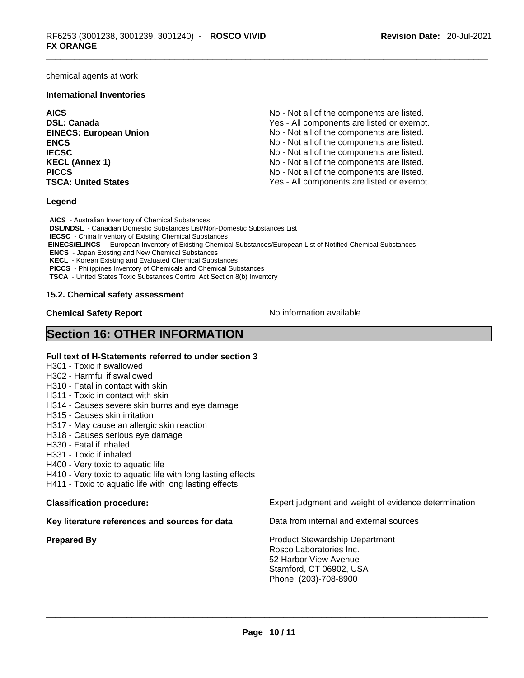chemical agents at work

#### **International Inventories**

**AICS** No - Not all of the components are listed. **DSL: Canada The Canada Ves - All components are listed or exempt. EINECS: European Union** No - Not all of the components are listed. **ENCS ENCS ENCS ENCS ENCS ENCS ENCS ENCS ENCS ENCS ENCS ENCS ENCS ENCS ENCS ENCS ENCS ENCS ENCS ENCS ENCS ENCS ENCS ENCS ENCS ENCS ENCS ENCS IECSC IECSC IECSC IECSC IECSC IECSC IECSC IECSC IECSC IECSC IECSC IECS IECS IECS IECS IECS IECS IECS IECS IECS IECS IECS IECS IECS IECS IECS IECS IECS IECS IECS KECL (Annex 1) No - Not all of the components are listed.** No - Not all of the components are listed. **PICCS** No - Not all of the components are listed. **TSCA: United States** Yes - All components are listed or exempt.

#### **Legend**

**AICS** - Australian Inventory of Chemical Substances **DSL/NDSL** - Canadian Domestic Substances List/Non-Domestic Substances List **IECSC** - China Inventory of Existing Chemical Substances  **EINECS/ELINCS** - European Inventory of Existing Chemical Substances/European List of Notified Chemical Substances **ENCS** - Japan Existing and New Chemical Substances **KECL** - Korean Existing and Evaluated Chemical Substances **PICCS** - Philippines Inventory of Chemicals and Chemical Substances **TSCA** - United States Toxic Substances Control Act Section 8(b) Inventory

#### **15.2. Chemical safety assessment**

**Chemical Safety Report Chemical Safety Report No information available** 

# **Section 16: OTHER INFORMATION**

#### **Full text of H-Statements referred to under section 3**

- H301 Toxic if swallowed
- H302 Harmful if swallowed
- H310 Fatal in contact with skin
- H311 Toxic in contact with skin
- H314 Causes severe skin burns and eye damage
- H315 Causes skin irritation
- H317 May cause an allergic skin reaction
- H318 Causes serious eye damage
- H330 Fatal if inhaled
- H331 Toxic if inhaled
- H400 Very toxic to aquatic life
- H410 Very toxic to aquatic life with long lasting effects
- H411 Toxic to aquatic life with long lasting effects

**Key literature references and sources for data** Data from internal and external sources

**Classification procedure:** Expert judgment and weight of evidence determination

**Prepared By Product Stewardship Department** Rosco Laboratories Inc. 52 Harbor View Avenue Stamford, CT 06902, USA Phone: (203)-708-8900 \_\_\_\_\_\_\_\_\_\_\_\_\_\_\_\_\_\_\_\_\_\_\_\_\_\_\_\_\_\_\_\_\_\_\_\_\_\_\_\_\_\_\_\_\_\_\_\_\_\_\_\_\_\_\_\_\_\_\_\_\_\_\_\_\_\_\_\_\_\_\_\_\_\_\_\_\_\_\_\_\_\_\_\_\_\_\_\_\_\_\_\_\_